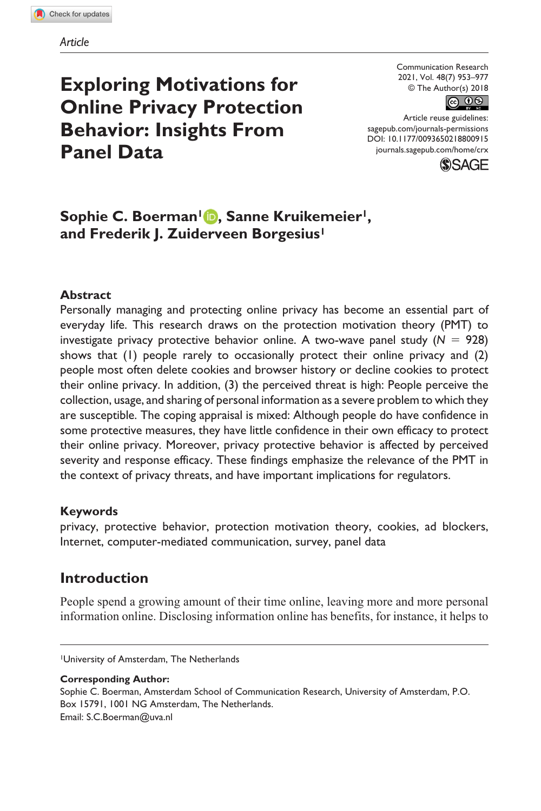# **Exploring Motivations for Online Privacy Protection Behavior: Insights From Panel Data**

Communication Research 2021, Vol. 48(7) 953–977  $\circ$  The Author(s) 2018



Article reuse guidelines: [sagepub.com/journals-permissions](https://us.sagepub.com/en-us/journals-permissions) DOI: 10.1177/0093650218800915 [journals.sagepub.com/home/crx](https://journals.sagepub.com/home/crx)



## Sophie C. Boerman<sup>1</sup> **D**, Sanne Kruikemeier<sup>1</sup>, **and Frederik J. Zuiderveen Borgesius1**

### **Abstract**

Personally managing and protecting online privacy has become an essential part of everyday life. This research draws on the protection motivation theory (PMT) to investigate privacy protective behavior online. A two-wave panel study  $(N = 928)$ shows that (1) people rarely to occasionally protect their online privacy and (2) people most often delete cookies and browser history or decline cookies to protect their online privacy. In addition, (3) the perceived threat is high: People perceive the collection, usage, and sharing of personal information as a severe problem to which they are susceptible. The coping appraisal is mixed: Although people do have confidence in some protective measures, they have little confidence in their own efficacy to protect their online privacy. Moreover, privacy protective behavior is affected by perceived severity and response efficacy. These findings emphasize the relevance of the PMT in the context of privacy threats, and have important implications for regulators.

#### **Keywords**

privacy, protective behavior, protection motivation theory, cookies, ad blockers, Internet, computer-mediated communication, survey, panel data

## **Introduction**

People spend a growing amount of their time online, leaving more and more personal information online. Disclosing information online has benefits, for instance, it helps to

**Corresponding Author:**

<sup>1</sup>University of Amsterdam, The Netherlands

Sophie C. Boerman, Amsterdam School of Communication Research, University of Amsterdam, P.O. Box 15791, 1001 NG Amsterdam, The Netherlands. Email: [S.C.Boerman@uva.nl](mailto:S.C.Boerman@uva.nl)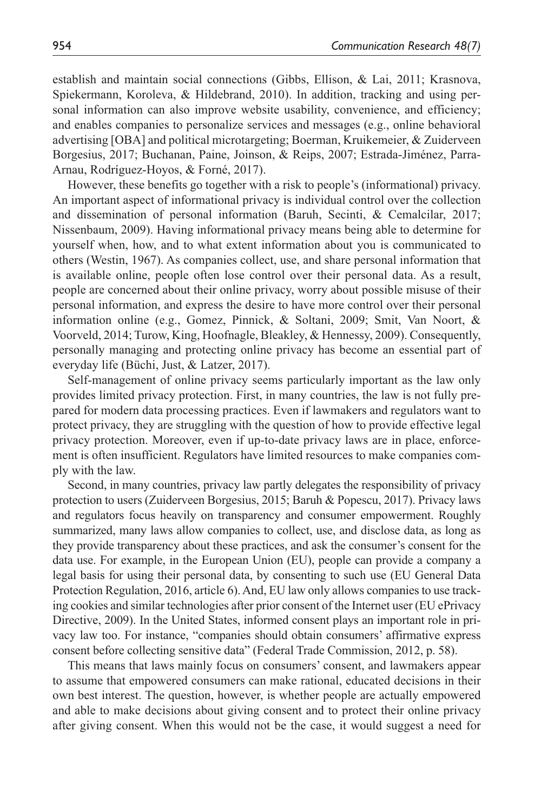establish and maintain social connections (Gibbs, Ellison, & Lai, 2011; Krasnova, Spiekermann, Koroleva, & Hildebrand, 2010). In addition, tracking and using personal information can also improve website usability, convenience, and efficiency; and enables companies to personalize services and messages (e.g., online behavioral advertising [OBA] and political microtargeting; Boerman, Kruikemeier, & Zuiderveen Borgesius, 2017; Buchanan, Paine, Joinson, & Reips, 2007; Estrada-Jiménez, Parra-Arnau, Rodríguez-Hoyos, & Forné, 2017).

However, these benefits go together with a risk to people's (informational) privacy. An important aspect of informational privacy is individual control over the collection and dissemination of personal information (Baruh, Secinti, & Cemalcilar, 2017; Nissenbaum, 2009). Having informational privacy means being able to determine for yourself when, how, and to what extent information about you is communicated to others (Westin, 1967). As companies collect, use, and share personal information that is available online, people often lose control over their personal data. As a result, people are concerned about their online privacy, worry about possible misuse of their personal information, and express the desire to have more control over their personal information online (e.g., Gomez, Pinnick, & Soltani, 2009; Smit, Van Noort, & Voorveld, 2014; Turow, King, Hoofnagle, Bleakley, & Hennessy, 2009). Consequently, personally managing and protecting online privacy has become an essential part of everyday life (Büchi, Just, & Latzer, 2017).

Self-management of online privacy seems particularly important as the law only provides limited privacy protection. First, in many countries, the law is not fully prepared for modern data processing practices. Even if lawmakers and regulators want to protect privacy, they are struggling with the question of how to provide effective legal privacy protection. Moreover, even if up-to-date privacy laws are in place, enforcement is often insufficient. Regulators have limited resources to make companies comply with the law.

Second, in many countries, privacy law partly delegates the responsibility of privacy protection to users (Zuiderveen Borgesius, 2015; Baruh & Popescu, 2017). Privacy laws and regulators focus heavily on transparency and consumer empowerment. Roughly summarized, many laws allow companies to collect, use, and disclose data, as long as they provide transparency about these practices, and ask the consumer's consent for the data use. For example, in the European Union (EU), people can provide a company a legal basis for using their personal data, by consenting to such use (EU General Data Protection Regulation, 2016, article 6). And, EU law only allows companies to use tracking cookies and similar technologies after prior consent of the Internet user (EU ePrivacy Directive, 2009). In the United States, informed consent plays an important role in privacy law too. For instance, "companies should obtain consumers' affirmative express consent before collecting sensitive data" (Federal Trade Commission, 2012, p. 58).

This means that laws mainly focus on consumers' consent, and lawmakers appear to assume that empowered consumers can make rational, educated decisions in their own best interest. The question, however, is whether people are actually empowered and able to make decisions about giving consent and to protect their online privacy after giving consent. When this would not be the case, it would suggest a need for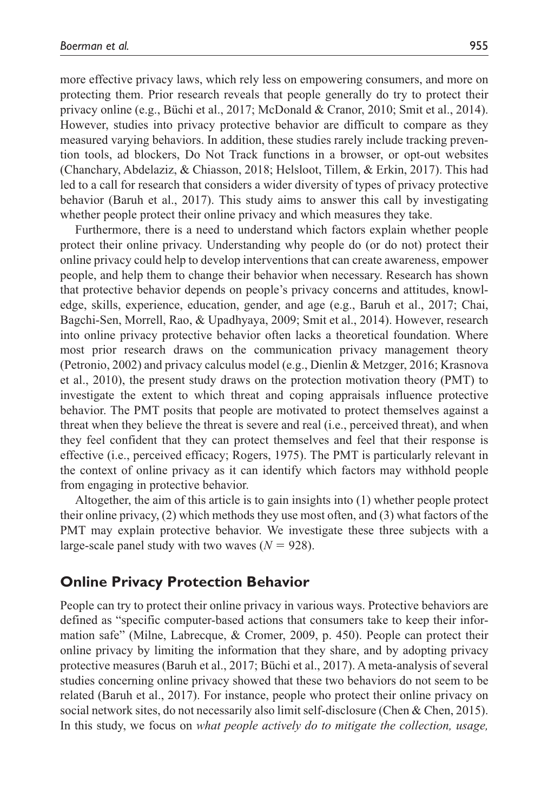more effective privacy laws, which rely less on empowering consumers, and more on protecting them. Prior research reveals that people generally do try to protect their privacy online (e.g., Büchi et al., 2017; McDonald & Cranor, 2010; Smit et al., 2014). However, studies into privacy protective behavior are difficult to compare as they measured varying behaviors. In addition, these studies rarely include tracking prevention tools, ad blockers, Do Not Track functions in a browser, or opt-out websites (Chanchary, Abdelaziz, & Chiasson, 2018; Helsloot, Tillem, & Erkin, 2017). This had led to a call for research that considers a wider diversity of types of privacy protective behavior (Baruh et al., 2017). This study aims to answer this call by investigating whether people protect their online privacy and which measures they take.

Furthermore, there is a need to understand which factors explain whether people protect their online privacy. Understanding why people do (or do not) protect their online privacy could help to develop interventions that can create awareness, empower people, and help them to change their behavior when necessary. Research has shown that protective behavior depends on people's privacy concerns and attitudes, knowledge, skills, experience, education, gender, and age (e.g., Baruh et al., 2017; Chai, Bagchi-Sen, Morrell, Rao, & Upadhyaya, 2009; Smit et al., 2014). However, research into online privacy protective behavior often lacks a theoretical foundation. Where most prior research draws on the communication privacy management theory (Petronio, 2002) and privacy calculus model (e.g., Dienlin & Metzger, 2016; Krasnova et al., 2010), the present study draws on the protection motivation theory (PMT) to investigate the extent to which threat and coping appraisals influence protective behavior. The PMT posits that people are motivated to protect themselves against a threat when they believe the threat is severe and real (i.e., perceived threat), and when they feel confident that they can protect themselves and feel that their response is effective (i.e., perceived efficacy; Rogers, 1975). The PMT is particularly relevant in the context of online privacy as it can identify which factors may withhold people from engaging in protective behavior.

Altogether, the aim of this article is to gain insights into (1) whether people protect their online privacy, (2) which methods they use most often, and (3) what factors of the PMT may explain protective behavior. We investigate these three subjects with a large-scale panel study with two waves  $(N = 928)$ .

#### **Online Privacy Protection Behavior**

People can try to protect their online privacy in various ways. Protective behaviors are defined as "specific computer-based actions that consumers take to keep their information safe" (Milne, Labrecque, & Cromer, 2009, p. 450). People can protect their online privacy by limiting the information that they share, and by adopting privacy protective measures (Baruh et al., 2017; Büchi et al., 2017). A meta-analysis of several studies concerning online privacy showed that these two behaviors do not seem to be related (Baruh et al., 2017). For instance, people who protect their online privacy on social network sites, do not necessarily also limit self-disclosure (Chen & Chen, 2015). In this study, we focus on *what people actively do to mitigate the collection, usage,*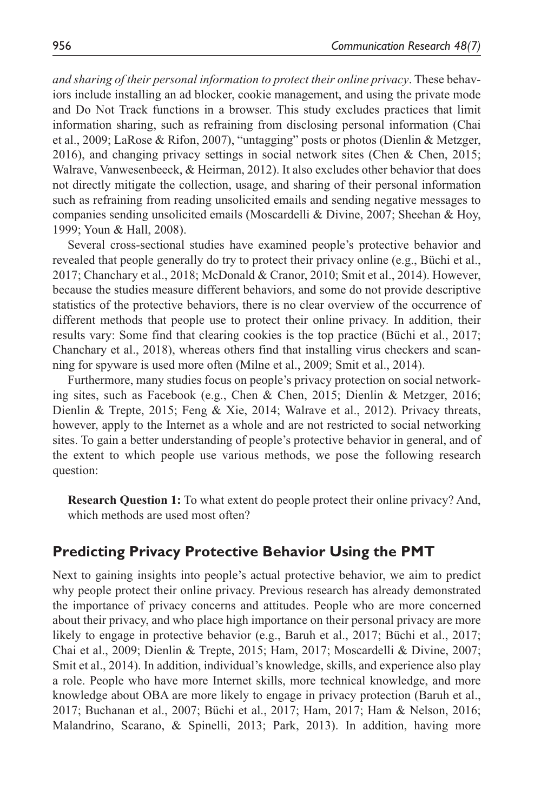*and sharing of their personal information to protect their online privacy*. These behaviors include installing an ad blocker, cookie management, and using the private mode and Do Not Track functions in a browser. This study excludes practices that limit information sharing, such as refraining from disclosing personal information (Chai et al., 2009; LaRose & Rifon, 2007), "untagging" posts or photos (Dienlin & Metzger, 2016), and changing privacy settings in social network sites (Chen & Chen, 2015; Walrave, Vanwesenbeeck, & Heirman, 2012). It also excludes other behavior that does not directly mitigate the collection, usage, and sharing of their personal information such as refraining from reading unsolicited emails and sending negative messages to companies sending unsolicited emails (Moscardelli & Divine, 2007; Sheehan & Hoy, 1999; Youn & Hall, 2008).

Several cross-sectional studies have examined people's protective behavior and revealed that people generally do try to protect their privacy online (e.g., Büchi et al., 2017; Chanchary et al., 2018; McDonald & Cranor, 2010; Smit et al., 2014). However, because the studies measure different behaviors, and some do not provide descriptive statistics of the protective behaviors, there is no clear overview of the occurrence of different methods that people use to protect their online privacy. In addition, their results vary: Some find that clearing cookies is the top practice (Büchi et al., 2017; Chanchary et al., 2018), whereas others find that installing virus checkers and scanning for spyware is used more often (Milne et al., 2009; Smit et al., 2014).

Furthermore, many studies focus on people's privacy protection on social networking sites, such as Facebook (e.g., Chen & Chen, 2015; Dienlin & Metzger, 2016; Dienlin & Trepte, 2015; Feng & Xie, 2014; Walrave et al., 2012). Privacy threats, however, apply to the Internet as a whole and are not restricted to social networking sites. To gain a better understanding of people's protective behavior in general, and of the extent to which people use various methods, we pose the following research question:

**Research Question 1:** To what extent do people protect their online privacy? And, which methods are used most often?

## **Predicting Privacy Protective Behavior Using the PMT**

Next to gaining insights into people's actual protective behavior, we aim to predict why people protect their online privacy. Previous research has already demonstrated the importance of privacy concerns and attitudes. People who are more concerned about their privacy, and who place high importance on their personal privacy are more likely to engage in protective behavior (e.g., Baruh et al., 2017; Büchi et al., 2017; Chai et al., 2009; Dienlin & Trepte, 2015; Ham, 2017; Moscardelli & Divine, 2007; Smit et al., 2014). In addition, individual's knowledge, skills, and experience also play a role. People who have more Internet skills, more technical knowledge, and more knowledge about OBA are more likely to engage in privacy protection (Baruh et al., 2017; Buchanan et al., 2007; Büchi et al., 2017; Ham, 2017; Ham & Nelson, 2016; Malandrino, Scarano, & Spinelli, 2013; Park, 2013). In addition, having more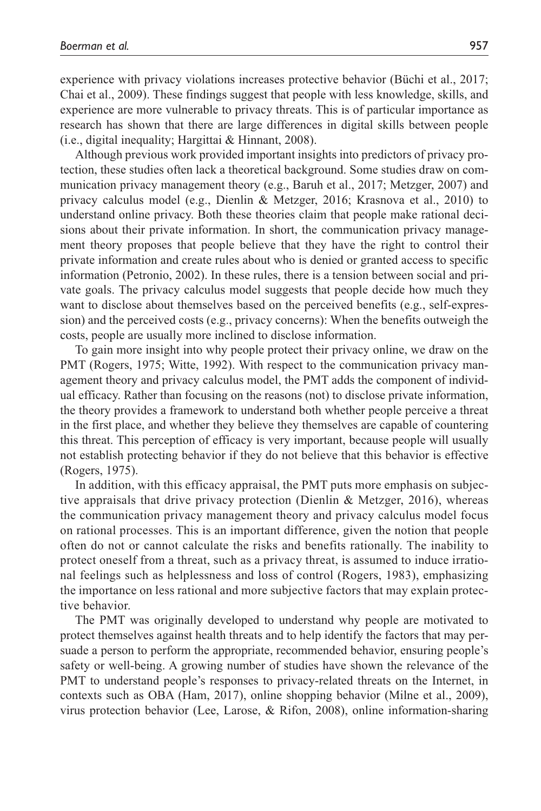experience with privacy violations increases protective behavior (Büchi et al., 2017; Chai et al., 2009). These findings suggest that people with less knowledge, skills, and experience are more vulnerable to privacy threats. This is of particular importance as research has shown that there are large differences in digital skills between people (i.e., digital inequality; Hargittai & Hinnant, 2008).

Although previous work provided important insights into predictors of privacy protection, these studies often lack a theoretical background. Some studies draw on communication privacy management theory (e.g., Baruh et al., 2017; Metzger, 2007) and privacy calculus model (e.g., Dienlin & Metzger, 2016; Krasnova et al., 2010) to understand online privacy. Both these theories claim that people make rational decisions about their private information. In short, the communication privacy management theory proposes that people believe that they have the right to control their private information and create rules about who is denied or granted access to specific information (Petronio, 2002). In these rules, there is a tension between social and private goals. The privacy calculus model suggests that people decide how much they want to disclose about themselves based on the perceived benefits (e.g., self-expression) and the perceived costs (e.g., privacy concerns): When the benefits outweigh the costs, people are usually more inclined to disclose information.

To gain more insight into why people protect their privacy online, we draw on the PMT (Rogers, 1975; Witte, 1992). With respect to the communication privacy management theory and privacy calculus model, the PMT adds the component of individual efficacy. Rather than focusing on the reasons (not) to disclose private information, the theory provides a framework to understand both whether people perceive a threat in the first place, and whether they believe they themselves are capable of countering this threat. This perception of efficacy is very important, because people will usually not establish protecting behavior if they do not believe that this behavior is effective (Rogers, 1975).

In addition, with this efficacy appraisal, the PMT puts more emphasis on subjective appraisals that drive privacy protection (Dienlin & Metzger, 2016), whereas the communication privacy management theory and privacy calculus model focus on rational processes. This is an important difference, given the notion that people often do not or cannot calculate the risks and benefits rationally. The inability to protect oneself from a threat, such as a privacy threat, is assumed to induce irrational feelings such as helplessness and loss of control (Rogers, 1983), emphasizing the importance on less rational and more subjective factors that may explain protective behavior.

The PMT was originally developed to understand why people are motivated to protect themselves against health threats and to help identify the factors that may persuade a person to perform the appropriate, recommended behavior, ensuring people's safety or well-being. A growing number of studies have shown the relevance of the PMT to understand people's responses to privacy-related threats on the Internet, in contexts such as OBA (Ham, 2017), online shopping behavior (Milne et al., 2009), virus protection behavior (Lee, Larose, & Rifon, 2008), online information-sharing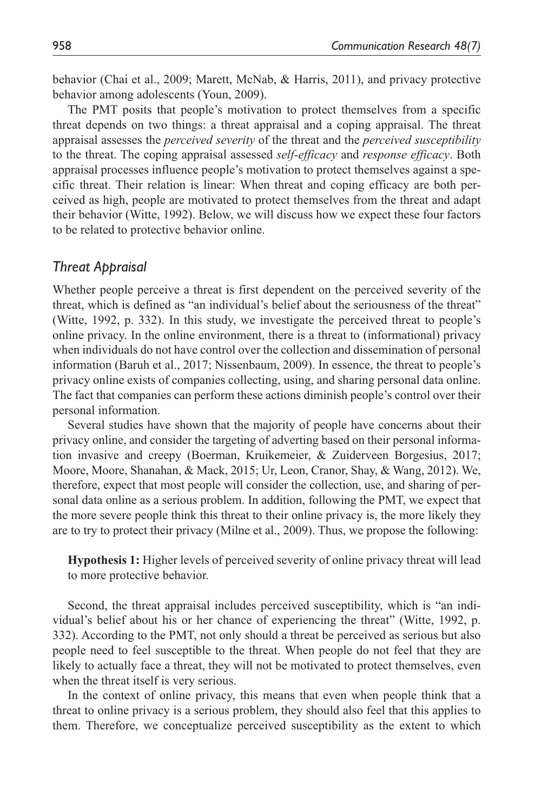behavior (Chai et al., 2009; Marett, McNab, & Harris, 2011), and privacy protective behavior among adolescents (Youn, 2009).

The PMT posits that people's motivation to protect themselves from a specific threat depends on two things: a threat appraisal and a coping appraisal. The threat appraisal assesses the *perceived severity* of the threat and the *perceived susceptibility* to the threat. The coping appraisal assessed *self-efficacy* and *response efficacy*. Both appraisal processes influence people's motivation to protect themselves against a specific threat. Their relation is linear: When threat and coping efficacy are both perceived as high, people are motivated to protect themselves from the threat and adapt their behavior (Witte, 1992). Below, we will discuss how we expect these four factors to be related to protective behavior online.

#### *Threat Appraisal*

Whether people perceive a threat is first dependent on the perceived severity of the threat, which is defined as "an individual's belief about the seriousness of the threat" (Witte, 1992, p. 332). In this study, we investigate the perceived threat to people's online privacy. In the online environment, there is a threat to (informational) privacy when individuals do not have control over the collection and dissemination of personal information (Baruh et al., 2017; Nissenbaum, 2009). In essence, the threat to people's privacy online exists of companies collecting, using, and sharing personal data online. The fact that companies can perform these actions diminish people's control over their personal information.

Several studies have shown that the majority of people have concerns about their privacy online, and consider the targeting of adverting based on their personal information invasive and creepy (Boerman, Kruikemeier, & Zuiderveen Borgesius, 2017; Moore, Moore, Shanahan, & Mack, 2015; Ur, Leon, Cranor, Shay, & Wang, 2012). We, therefore, expect that most people will consider the collection, use, and sharing of personal data online as a serious problem. In addition, following the PMT, we expect that the more severe people think this threat to their online privacy is, the more likely they are to try to protect their privacy (Milne et al., 2009). Thus, we propose the following:

**Hypothesis 1:** Higher levels of perceived severity of online privacy threat will lead to more protective behavior.

Second, the threat appraisal includes perceived susceptibility, which is "an individual's belief about his or her chance of experiencing the threat" (Witte, 1992, p. 332). According to the PMT, not only should a threat be perceived as serious but also people need to feel susceptible to the threat. When people do not feel that they are likely to actually face a threat, they will not be motivated to protect themselves, even when the threat itself is very serious.

In the context of online privacy, this means that even when people think that a threat to online privacy is a serious problem, they should also feel that this applies to them. Therefore, we conceptualize perceived susceptibility as the extent to which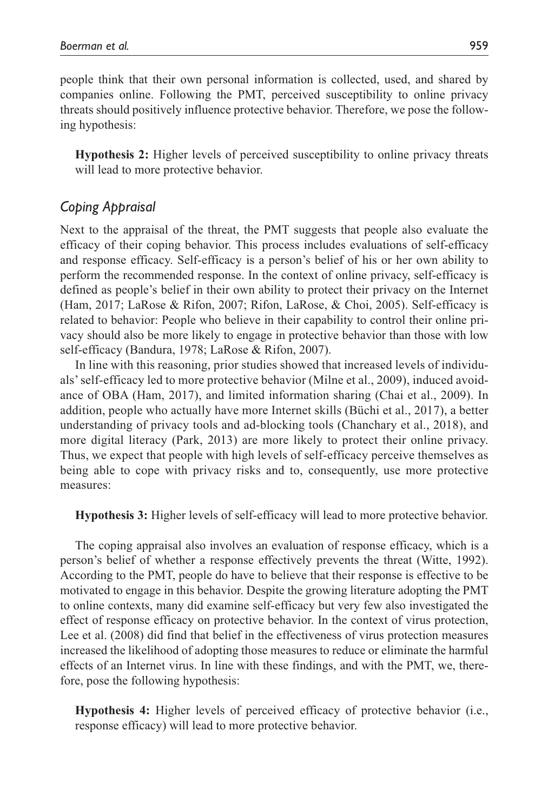people think that their own personal information is collected, used, and shared by companies online. Following the PMT, perceived susceptibility to online privacy threats should positively influence protective behavior. Therefore, we pose the following hypothesis:

**Hypothesis 2:** Higher levels of perceived susceptibility to online privacy threats will lead to more protective behavior.

## *Coping Appraisal*

Next to the appraisal of the threat, the PMT suggests that people also evaluate the efficacy of their coping behavior. This process includes evaluations of self-efficacy and response efficacy. Self-efficacy is a person's belief of his or her own ability to perform the recommended response. In the context of online privacy, self-efficacy is defined as people's belief in their own ability to protect their privacy on the Internet (Ham, 2017; LaRose & Rifon, 2007; Rifon, LaRose, & Choi, 2005). Self-efficacy is related to behavior: People who believe in their capability to control their online privacy should also be more likely to engage in protective behavior than those with low self-efficacy (Bandura, 1978; LaRose & Rifon, 2007).

In line with this reasoning, prior studies showed that increased levels of individuals' self-efficacy led to more protective behavior (Milne et al., 2009), induced avoidance of OBA (Ham, 2017), and limited information sharing (Chai et al., 2009). In addition, people who actually have more Internet skills (Büchi et al., 2017), a better understanding of privacy tools and ad-blocking tools (Chanchary et al., 2018), and more digital literacy (Park, 2013) are more likely to protect their online privacy. Thus, we expect that people with high levels of self-efficacy perceive themselves as being able to cope with privacy risks and to, consequently, use more protective measures:

**Hypothesis 3:** Higher levels of self-efficacy will lead to more protective behavior.

The coping appraisal also involves an evaluation of response efficacy, which is a person's belief of whether a response effectively prevents the threat (Witte, 1992). According to the PMT, people do have to believe that their response is effective to be motivated to engage in this behavior. Despite the growing literature adopting the PMT to online contexts, many did examine self-efficacy but very few also investigated the effect of response efficacy on protective behavior. In the context of virus protection, Lee et al. (2008) did find that belief in the effectiveness of virus protection measures increased the likelihood of adopting those measures to reduce or eliminate the harmful effects of an Internet virus. In line with these findings, and with the PMT, we, therefore, pose the following hypothesis:

**Hypothesis 4:** Higher levels of perceived efficacy of protective behavior (i.e., response efficacy) will lead to more protective behavior.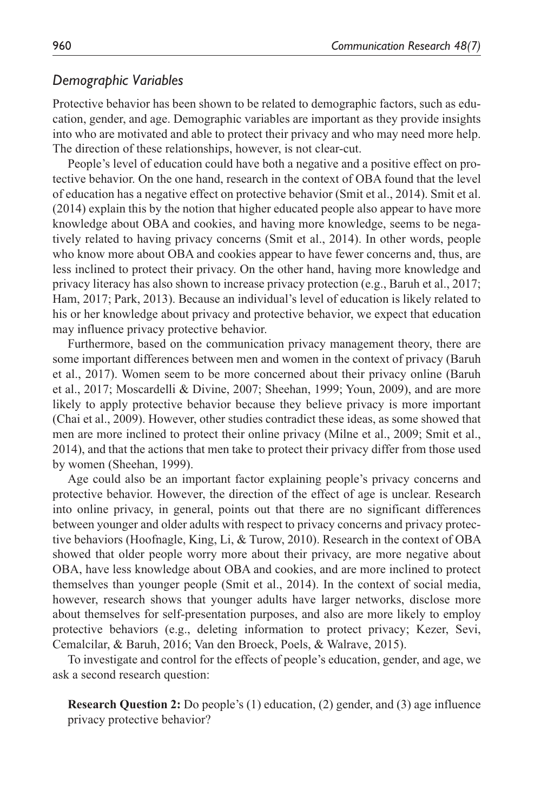## *Demographic Variables*

Protective behavior has been shown to be related to demographic factors, such as education, gender, and age. Demographic variables are important as they provide insights into who are motivated and able to protect their privacy and who may need more help. The direction of these relationships, however, is not clear-cut.

People's level of education could have both a negative and a positive effect on protective behavior. On the one hand, research in the context of OBA found that the level of education has a negative effect on protective behavior (Smit et al., 2014). Smit et al. (2014) explain this by the notion that higher educated people also appear to have more knowledge about OBA and cookies, and having more knowledge, seems to be negatively related to having privacy concerns (Smit et al., 2014). In other words, people who know more about OBA and cookies appear to have fewer concerns and, thus, are less inclined to protect their privacy. On the other hand, having more knowledge and privacy literacy has also shown to increase privacy protection (e.g., Baruh et al., 2017; Ham, 2017; Park, 2013). Because an individual's level of education is likely related to his or her knowledge about privacy and protective behavior, we expect that education may influence privacy protective behavior.

Furthermore, based on the communication privacy management theory, there are some important differences between men and women in the context of privacy (Baruh et al., 2017). Women seem to be more concerned about their privacy online (Baruh et al., 2017; Moscardelli & Divine, 2007; Sheehan, 1999; Youn, 2009), and are more likely to apply protective behavior because they believe privacy is more important (Chai et al., 2009). However, other studies contradict these ideas, as some showed that men are more inclined to protect their online privacy (Milne et al., 2009; Smit et al., 2014), and that the actions that men take to protect their privacy differ from those used by women (Sheehan, 1999).

Age could also be an important factor explaining people's privacy concerns and protective behavior. However, the direction of the effect of age is unclear. Research into online privacy, in general, points out that there are no significant differences between younger and older adults with respect to privacy concerns and privacy protective behaviors (Hoofnagle, King, Li, & Turow, 2010). Research in the context of OBA showed that older people worry more about their privacy, are more negative about OBA, have less knowledge about OBA and cookies, and are more inclined to protect themselves than younger people (Smit et al., 2014). In the context of social media, however, research shows that younger adults have larger networks, disclose more about themselves for self-presentation purposes, and also are more likely to employ protective behaviors (e.g., deleting information to protect privacy; Kezer, Sevi, Cemalcilar, & Baruh, 2016; Van den Broeck, Poels, & Walrave, 2015).

To investigate and control for the effects of people's education, gender, and age, we ask a second research question:

**Research Question 2:** Do people's (1) education, (2) gender, and (3) age influence privacy protective behavior?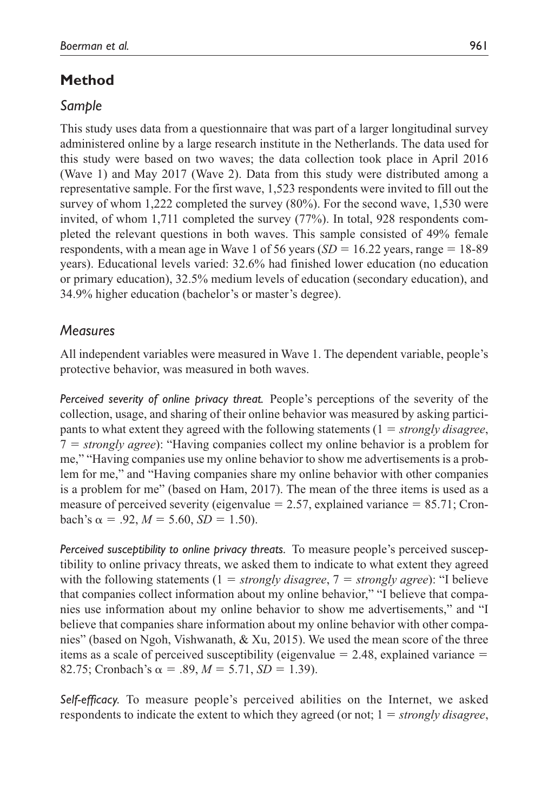## **Method**

## *Sample*

This study uses data from a questionnaire that was part of a larger longitudinal survey administered online by a large research institute in the Netherlands. The data used for this study were based on two waves; the data collection took place in April 2016 (Wave 1) and May 2017 (Wave 2). Data from this study were distributed among a representative sample. For the first wave, 1,523 respondents were invited to fill out the survey of whom 1,222 completed the survey (80%). For the second wave, 1,530 were invited, of whom 1,711 completed the survey (77%). In total, 928 respondents completed the relevant questions in both waves. This sample consisted of 49% female respondents, with a mean age in Wave 1 of 56 years (*SD* = 16.22 years, range = 18-89 years). Educational levels varied: 32.6% had finished lower education (no education or primary education), 32.5% medium levels of education (secondary education), and 34.9% higher education (bachelor's or master's degree).

## *Measures*

All independent variables were measured in Wave 1. The dependent variable, people's protective behavior, was measured in both waves.

*Perceived severity of online privacy threat.* People's perceptions of the severity of the collection, usage, and sharing of their online behavior was measured by asking participants to what extent they agreed with the following statements (1 = *strongly disagree*, 7 = *strongly agree*): "Having companies collect my online behavior is a problem for me," "Having companies use my online behavior to show me advertisements is a problem for me," and "Having companies share my online behavior with other companies is a problem for me" (based on Ham, 2017). The mean of the three items is used as a measure of perceived severity (eigenvalue  $= 2.57$ , explained variance  $= 85.71$ ; Cronbach's  $\alpha$  = .92,  $M = 5.60$ ,  $SD = 1.50$ ).

*Perceived susceptibility to online privacy threats.* To measure people's perceived susceptibility to online privacy threats, we asked them to indicate to what extent they agreed with the following statements (1 = *strongly disagree*, 7 = *strongly agree*): "I believe that companies collect information about my online behavior," "I believe that companies use information about my online behavior to show me advertisements," and "I believe that companies share information about my online behavior with other companies" (based on Ngoh, Vishwanath, & Xu, 2015). We used the mean score of the three items as a scale of perceived susceptibility (eigenvalue  $= 2.48$ , explained variance  $=$ 82.75; Cronbach's  $\alpha$  = .89,  $M = 5.71$ ,  $SD = 1.39$ ).

*Self-efficacy.* To measure people's perceived abilities on the Internet, we asked respondents to indicate the extent to which they agreed (or not; 1 = *strongly disagree*,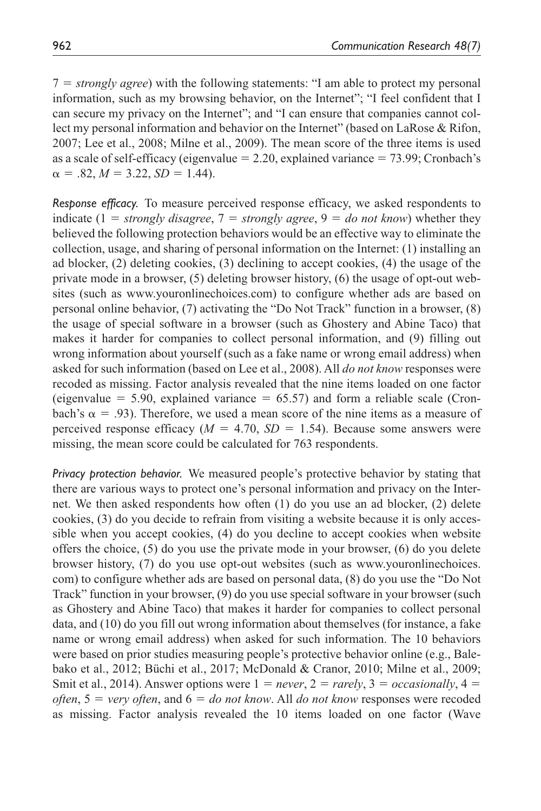7 = *strongly agree*) with the following statements: "I am able to protect my personal information, such as my browsing behavior, on the Internet"; "I feel confident that I can secure my privacy on the Internet"; and "I can ensure that companies cannot collect my personal information and behavior on the Internet" (based on LaRose & Rifon, 2007; Lee et al., 2008; Milne et al., 2009). The mean score of the three items is used as a scale of self-efficacy (eigenvalue  $= 2.20$ , explained variance  $= 73.99$ ; Cronbach's  $\alpha = .82, M = 3.22, SD = 1.44$ .

*Response efficacy.* To measure perceived response efficacy, we asked respondents to indicate (1 = *strongly disagree*, 7 = *strongly agree*, 9 = *do not know*) whether they believed the following protection behaviors would be an effective way to eliminate the collection, usage, and sharing of personal information on the Internet: (1) installing an ad blocker, (2) deleting cookies, (3) declining to accept cookies, (4) the usage of the private mode in a browser, (5) deleting browser history, (6) the usage of opt-out websites (such as [www.youronlinechoices.com\)](www.youronlinechoices.com) to configure whether ads are based on personal online behavior, (7) activating the "Do Not Track" function in a browser, (8) the usage of special software in a browser (such as Ghostery and Abine Taco) that makes it harder for companies to collect personal information, and (9) filling out wrong information about yourself (such as a fake name or wrong email address) when asked for such information (based on Lee et al., 2008). All *do not know* responses were recoded as missing. Factor analysis revealed that the nine items loaded on one factor (eigenvalue = 5.90, explained variance =  $65.57$ ) and form a reliable scale (Cronbach's  $\alpha$  = .93). Therefore, we used a mean score of the nine items as a measure of perceived response efficacy ( $M = 4.70$ ,  $SD = 1.54$ ). Because some answers were missing, the mean score could be calculated for 763 respondents.

*Privacy protection behavior.* We measured people's protective behavior by stating that there are various ways to protect one's personal information and privacy on the Internet. We then asked respondents how often (1) do you use an ad blocker, (2) delete cookies, (3) do you decide to refrain from visiting a website because it is only accessible when you accept cookies, (4) do you decline to accept cookies when website offers the choice, (5) do you use the private mode in your browser, (6) do you delete browser history, (7) do you use opt-out websites (such as [www.youronlinechoices.](www.youronlinechoices.com) [com](www.youronlinechoices.com)) to configure whether ads are based on personal data, (8) do you use the "Do Not Track" function in your browser, (9) do you use special software in your browser (such as Ghostery and Abine Taco) that makes it harder for companies to collect personal data, and (10) do you fill out wrong information about themselves (for instance, a fake name or wrong email address) when asked for such information. The 10 behaviors were based on prior studies measuring people's protective behavior online (e.g., Balebako et al., 2012; Büchi et al., 2017; McDonald & Cranor, 2010; Milne et al., 2009; Smit et al., 2014). Answer options were  $1 = never$ ,  $2 = rarely$ ,  $3 = occasionally$ ,  $4 =$ *often*, 5 = *very often*, and 6 = *do not know*. All *do not know* responses were recoded as missing. Factor analysis revealed the 10 items loaded on one factor (Wave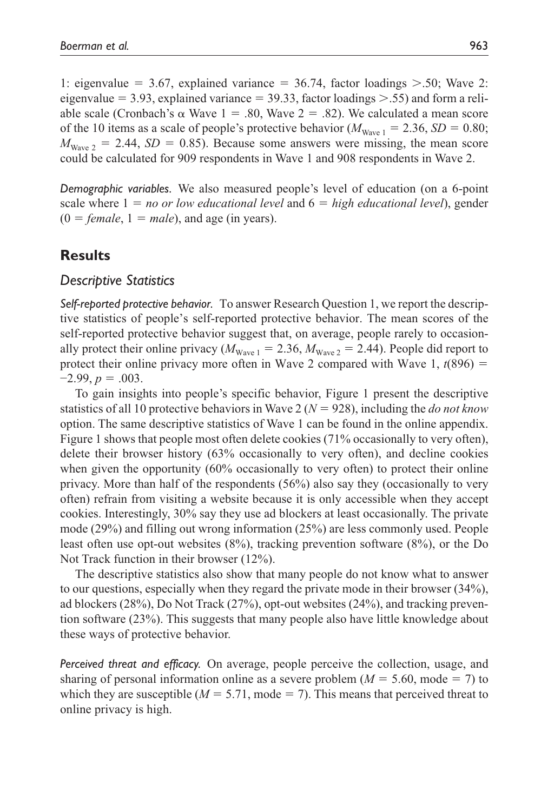1: eigenvalue = 3.67, explained variance = 36.74, factor loadings  $> 0.50$ ; Wave 2: eigenvalue  $= 3.93$ , explained variance  $= 39.33$ , factor loadings  $> 0.55$  and form a reliable scale (Cronbach's  $\alpha$  Wave 1 = .80, Wave 2 = .82). We calculated a mean score of the 10 items as a scale of people's protective behavior ( $M_{\text{Wave 1}} = 2.36$ , *SD* = 0.80;  $M_{\text{Wave 2}} = 2.44$ ,  $SD = 0.85$ ). Because some answers were missing, the mean score could be calculated for 909 respondents in Wave 1 and 908 respondents in Wave 2.

*Demographic variables.* We also measured people's level of education (on a 6-point scale where 1 = *no or low educational level* and 6 = *high educational level*), gender  $(0 = female, 1 = male)$ , and age (in years).

## **Results**

#### *Descriptive Statistics*

*Self-reported protective behavior.* To answer Research Question 1, we report the descriptive statistics of people's self-reported protective behavior. The mean scores of the self-reported protective behavior suggest that, on average, people rarely to occasionally protect their online privacy ( $M_{\text{Wave 1}} = 2.36$ ,  $M_{\text{Wave 2}} = 2.44$ ). People did report to protect their online privacy more often in Wave 2 compared with Wave 1,  $t(896)$  =  $-2.99, p = .003$ .

To gain insights into people's specific behavior, Figure 1 present the descriptive statistics of all 10 protective behaviors in Wave 2 (*N* = 928), including the *do not know* option. The same descriptive statistics of Wave 1 can be found in the online appendix. Figure 1 shows that people most often delete cookies (71% occasionally to very often), delete their browser history (63% occasionally to very often), and decline cookies when given the opportunity (60% occasionally to very often) to protect their online privacy. More than half of the respondents (56%) also say they (occasionally to very often) refrain from visiting a website because it is only accessible when they accept cookies. Interestingly, 30% say they use ad blockers at least occasionally. The private mode (29%) and filling out wrong information (25%) are less commonly used. People least often use opt-out websites (8%), tracking prevention software (8%), or the Do Not Track function in their browser (12%).

The descriptive statistics also show that many people do not know what to answer to our questions, especially when they regard the private mode in their browser (34%), ad blockers (28%), Do Not Track (27%), opt-out websites (24%), and tracking prevention software (23%). This suggests that many people also have little knowledge about these ways of protective behavior.

*Perceived threat and efficacy.* On average, people perceive the collection, usage, and sharing of personal information online as a severe problem  $(M = 5.60, \text{ mode} = 7)$  to which they are susceptible ( $M = 5.71$ , mode  $= 7$ ). This means that perceived threat to online privacy is high.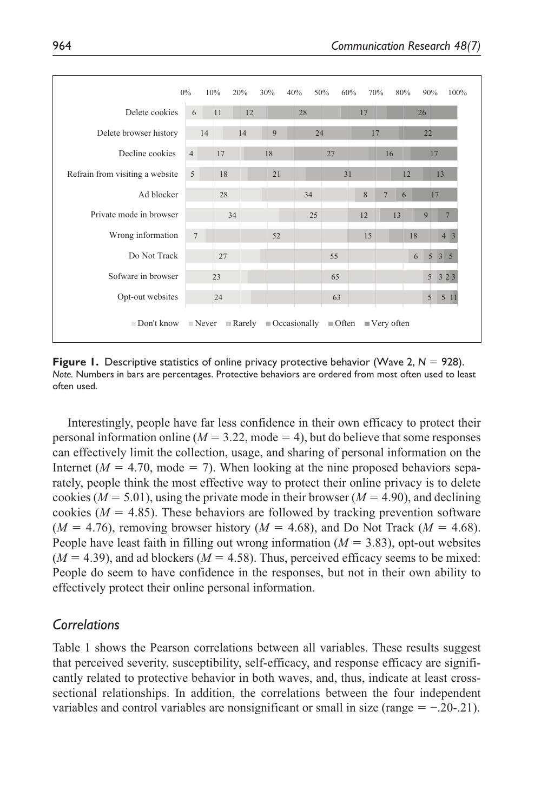|                                                                              | $0\%$           | 10% | 20% | 30%            | 40% | 50% | 60% | 70% |                | 80% | 90%            | 100%             |
|------------------------------------------------------------------------------|-----------------|-----|-----|----------------|-----|-----|-----|-----|----------------|-----|----------------|------------------|
| Delete cookies                                                               | 6               | 11  | 12  |                | 28  |     |     | 17  |                |     | 26             |                  |
| Delete browser history                                                       | 14              |     | 14  | $\overline{Q}$ |     | 24  |     | 17  |                |     | 22             |                  |
| Decline cookies                                                              | $\overline{4}$  | 17  |     | 18             |     | 27  |     |     | 16             |     | 17             |                  |
| Refrain from visiting a website                                              | $\sqrt{5}$      | 18  |     | 21             |     |     | 31  |     |                | 12  | 13             |                  |
| Ad blocker                                                                   |                 | 28  |     |                |     | 34  |     | 8   | $\overline{7}$ | 6   | 17             |                  |
| Private mode in browser                                                      |                 |     | 34  |                |     | 25  |     | 12  | 13             |     | 9              | $\overline{7}$   |
| Wrong information                                                            | $7\phantom{.0}$ |     |     | 52             |     |     |     | 15  |                | 18  |                | $4 \overline{3}$ |
| Do Not Track                                                                 |                 | 27  |     |                |     | 55  |     |     |                | 6   | 5 <sup>5</sup> | $3 \overline{5}$ |
| Sofware in browser                                                           |                 | 23  |     |                |     |     | 65  |     |                |     | 5 <sup>5</sup> | 323              |
| Opt-out websites                                                             |                 | 24  |     |                |     |     | 63  |     |                |     | 5              | 511              |
| ■ Don't know<br>Never Rarely Cocasionally Often<br>$\blacksquare$ Very often |                 |     |     |                |     |     |     |     |                |     |                |                  |

**Figure 1.** Descriptive statistics of online privacy protective behavior (Wave 2,  $N = 928$ ). *Note.* Numbers in bars are percentages. Protective behaviors are ordered from most often used to least often used.

Interestingly, people have far less confidence in their own efficacy to protect their personal information online ( $M = 3.22$ , mode  $= 4$ ), but do believe that some responses can effectively limit the collection, usage, and sharing of personal information on the Internet ( $M = 4.70$ , mode = 7). When looking at the nine proposed behaviors separately, people think the most effective way to protect their online privacy is to delete cookies ( $M = 5.01$ ), using the private mode in their browser ( $M = 4.90$ ), and declining cookies ( $M = 4.85$ ). These behaviors are followed by tracking prevention software  $(M = 4.76)$ , removing browser history  $(M = 4.68)$ , and Do Not Track  $(M = 4.68)$ . People have least faith in filling out wrong information  $(M = 3.83)$ , opt-out websites  $(M = 4.39)$ , and ad blockers  $(M = 4.58)$ . Thus, perceived efficacy seems to be mixed: People do seem to have confidence in the responses, but not in their own ability to effectively protect their online personal information.

#### *Correlations*

Table 1 shows the Pearson correlations between all variables. These results suggest that perceived severity, susceptibility, self-efficacy, and response efficacy are significantly related to protective behavior in both waves, and, thus, indicate at least crosssectional relationships. In addition, the correlations between the four independent variables and control variables are nonsignificant or small in size (range  $=$  -.20-.21).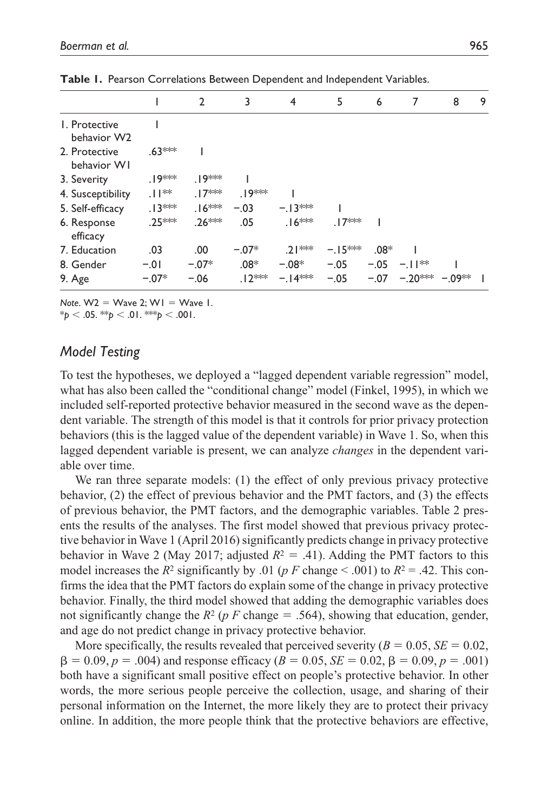|                              |                    | $\overline{2}$     | 3                  | 4                  | 5         | 6      | 7         | 8        | 9 |
|------------------------------|--------------------|--------------------|--------------------|--------------------|-----------|--------|-----------|----------|---|
| I. Protective<br>behavior W2 |                    |                    |                    |                    |           |        |           |          |   |
| 2. Protective<br>behavior W1 | .63 <sup>***</sup> |                    |                    |                    |           |        |           |          |   |
| 3. Severity                  | .19***             | .19 <sup>≭≉≉</sup> |                    |                    |           |        |           |          |   |
| 4. Susceptibility            | $ 1 ^{**}$         | $.17***$           | .19 <sup>≭≉≉</sup> |                    |           |        |           |          |   |
| 5. Self-efficacy             | .l3 <sup>≭≭≭</sup> | $.16***$           | $-.03$             | $-.13***$          |           |        |           |          |   |
| 6. Response<br>efficacy      | 25**               | .26 <sup>***</sup> | .05                | .16 <sup>***</sup> | $.17***$  |        |           |          |   |
| 7. Education                 | .03                | .00                | $-.07*$            | .21 ***            | $-.15***$ | $.08*$ |           |          |   |
| 8. Gender                    | $-.01$             | $-.07*$            | $.08*$             | $-.08*$            | $-.05$    | $-.05$ | $-11**$   |          |   |
| 9. Age                       | $-.07*$            | $-.06$             | .12 <sup>≉≉≭</sup> | $-.14***$          | $-.05$    | $-.07$ | $-.20***$ | $-.09**$ |   |
|                              |                    |                    |                    |                    |           |        |           |          |   |

**Table 1.** Pearson Correlations Between Dependent and Independent Variables.

*Note*. W2 = Wave 2; W1 = Wave 1.

 $*_{p}$  < .05.  $*_{p}$  < .01.  $*_{p}$  < .001.

#### *Model Testing*

To test the hypotheses, we deployed a "lagged dependent variable regression" model, what has also been called the "conditional change" model (Finkel, 1995), in which we included self-reported protective behavior measured in the second wave as the dependent variable. The strength of this model is that it controls for prior privacy protection behaviors (this is the lagged value of the dependent variable) in Wave 1. So, when this lagged dependent variable is present, we can analyze *changes* in the dependent variable over time.

We ran three separate models: (1) the effect of only previous privacy protective behavior, (2) the effect of previous behavior and the PMT factors, and (3) the effects of previous behavior, the PMT factors, and the demographic variables. Table 2 presents the results of the analyses. The first model showed that previous privacy protective behavior in Wave 1 (April 2016) significantly predicts change in privacy protective behavior in Wave 2 (May 2017; adjusted  $R^2 = .41$ ). Adding the PMT factors to this model increases the  $R^2$  significantly by .01 (*p F* change < .001) to  $R^2 = .42$ . This confirms the idea that the PMT factors do explain some of the change in privacy protective behavior. Finally, the third model showed that adding the demographic variables does not significantly change the  $R^2$  ( $p \text{ } F$  change = .564), showing that education, gender, and age do not predict change in privacy protective behavior.

More specifically, the results revealed that perceived severity ( $B = 0.05$ ,  $SE = 0.02$ ,  $β = 0.09, p = .004$  and response efficacy ( $β = 0.05, SE = 0.02, β = 0.09, p = .001$ ) both have a significant small positive effect on people's protective behavior. In other words, the more serious people perceive the collection, usage, and sharing of their personal information on the Internet, the more likely they are to protect their privacy online. In addition, the more people think that the protective behaviors are effective,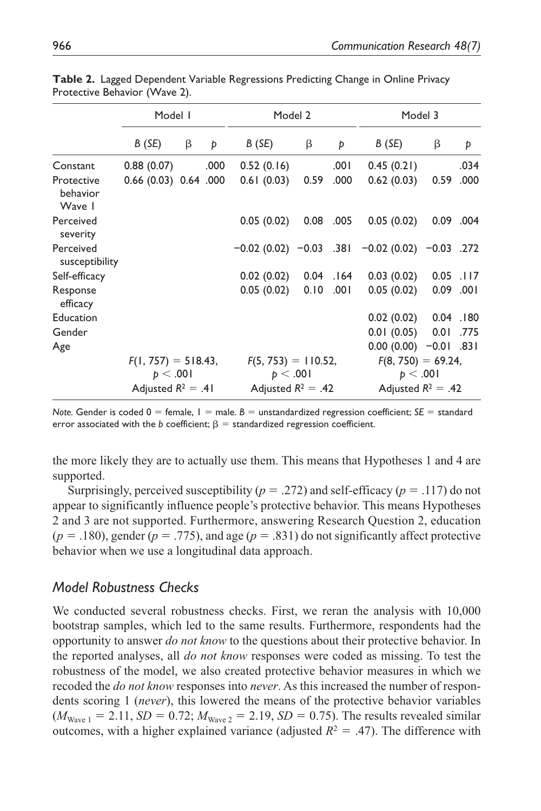|                                  | Model I                           |   |      |                                   | Model 2 |              | Model 3                                                 |             |              |  |
|----------------------------------|-----------------------------------|---|------|-----------------------------------|---------|--------------|---------------------------------------------------------|-------------|--------------|--|
|                                  | B(SE)                             | β | Þ    | B(SE)                             | β       | Þ            | B(SE)                                                   | β           | Þ            |  |
| Constant                         | 0.88(0.07)                        |   | .000 | 0.52(0.16)                        |         | .001         | 0.45(0.21)                                              |             | .034         |  |
| Protective<br>behavior<br>Wave I | 0.66(0.03) 0.64.000               |   |      | 0.61(0.03)                        | 0.59    | .000         | 0.62(0.03)                                              | 0.59        | .000         |  |
| Perceived<br>severity            |                                   |   |      | 0.05(0.02)                        |         | 0.08 .005    | 0.05(0.02)                                              |             | 0.09 .004    |  |
| Perceived<br>susceptibility      |                                   |   |      |                                   |         |              | $-0.02$ (0.02) $-0.03$ .381 $-0.02$ (0.02) $-0.03$ .272 |             |              |  |
| Self-efficacy                    |                                   |   |      | 0.02(0.02)                        |         | $0.04$ . 164 | 0.03(0.02)                                              |             | $0.05$ .117  |  |
| Response<br>efficacy             |                                   |   |      | 0.05(0.02)                        | 0.10    | .001         | 0.05(0.02)                                              | $0.09$ .001 |              |  |
| Education                        |                                   |   |      |                                   |         |              | 0.02(0.02)                                              |             | $0.04$ . 180 |  |
| Gender                           |                                   |   |      |                                   |         |              | 0.01(0.05)                                              | 0.01        | .775         |  |
| Age                              |                                   |   |      |                                   |         |              | $0.00(0.00) -0.01$ .831                                 |             |              |  |
|                                  | $F(1, 757) = 518.43,$<br>p < .001 |   |      | $F(5, 753) = 110.52,$<br>p < .001 |         |              | $F(8, 750) = 69.24,$<br>p < .001                        |             |              |  |
|                                  | Adjusted $R^2 = .41$              |   |      | Adjusted $R^2 = .42$              |         |              | Adjusted $R^2 = .42$                                    |             |              |  |

**Table 2.** Lagged Dependent Variable Regressions Predicting Change in Online Privacy Protective Behavior (Wave 2).

*Note.* Gender is coded 0 = female, 1 = male. *B* = unstandardized regression coefficient; *SE* = standard error associated with the *b* coefficient;  $\beta$  = standardized regression coefficient.

the more likely they are to actually use them. This means that Hypotheses 1 and 4 are supported.

Surprisingly, perceived susceptibility ( $p = .272$ ) and self-efficacy ( $p = .117$ ) do not appear to significantly influence people's protective behavior. This means Hypotheses 2 and 3 are not supported. Furthermore, answering Research Question 2, education  $(p = .180)$ , gender  $(p = .775)$ , and age  $(p = .831)$  do not significantly affect protective behavior when we use a longitudinal data approach.

## *Model Robustness Checks*

We conducted several robustness checks. First, we reran the analysis with 10,000 bootstrap samples, which led to the same results. Furthermore, respondents had the opportunity to answer *do not know* to the questions about their protective behavior. In the reported analyses, all *do not know* responses were coded as missing. To test the robustness of the model, we also created protective behavior measures in which we recoded the *do not know* responses into *never*. As this increased the number of respondents scoring 1 (*never*), this lowered the means of the protective behavior variables  $(M_{\text{Wave 1}} = 2.11, SD = 0.72; M_{\text{Wave 2}} = 2.19, SD = 0.75$ ). The results revealed similar outcomes, with a higher explained variance (adjusted  $R<sup>2</sup> = .47$ ). The difference with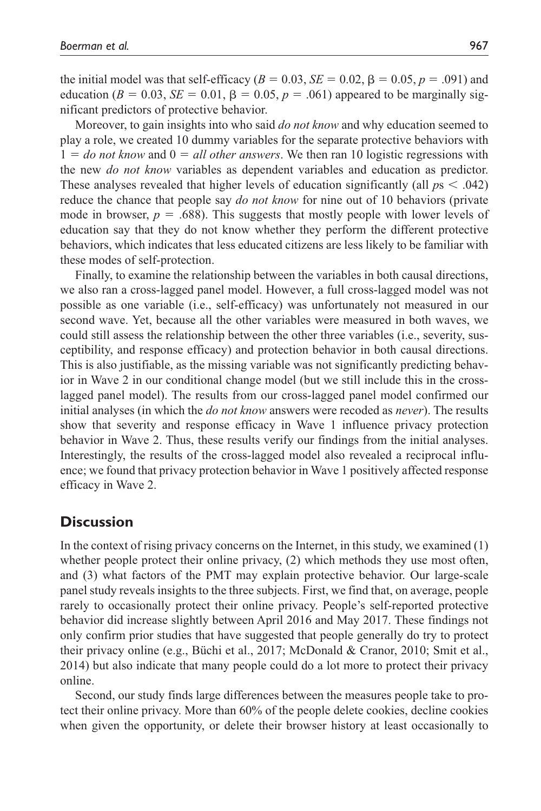the initial model was that self-efficacy ( $B = 0.03$ ,  $SE = 0.02$ ,  $\beta = 0.05$ ,  $p = .091$ ) and education ( $B = 0.03$ ,  $SE = 0.01$ ,  $\beta = 0.05$ ,  $p = .061$ ) appeared to be marginally significant predictors of protective behavior.

Moreover, to gain insights into who said *do not know* and why education seemed to play a role, we created 10 dummy variables for the separate protective behaviors with  $1 = do$  *not know* and  $0 = all$  *other answers*. We then ran 10 logistic regressions with the new *do not know* variables as dependent variables and education as predictor. These analyses revealed that higher levels of education significantly (all  $p_s < .042$ ) reduce the chance that people say *do not know* for nine out of 10 behaviors (private mode in browser,  $p = .688$ ). This suggests that mostly people with lower levels of education say that they do not know whether they perform the different protective behaviors, which indicates that less educated citizens are less likely to be familiar with these modes of self-protection.

Finally, to examine the relationship between the variables in both causal directions, we also ran a cross-lagged panel model. However, a full cross-lagged model was not possible as one variable (i.e., self-efficacy) was unfortunately not measured in our second wave. Yet, because all the other variables were measured in both waves, we could still assess the relationship between the other three variables (i.e., severity, susceptibility, and response efficacy) and protection behavior in both causal directions. This is also justifiable, as the missing variable was not significantly predicting behavior in Wave 2 in our conditional change model (but we still include this in the crosslagged panel model). The results from our cross-lagged panel model confirmed our initial analyses (in which the *do not know* answers were recoded as *never*). The results show that severity and response efficacy in Wave 1 influence privacy protection behavior in Wave 2. Thus, these results verify our findings from the initial analyses. Interestingly, the results of the cross-lagged model also revealed a reciprocal influence; we found that privacy protection behavior in Wave 1 positively affected response efficacy in Wave 2.

## **Discussion**

In the context of rising privacy concerns on the Internet, in this study, we examined (1) whether people protect their online privacy, (2) which methods they use most often, and (3) what factors of the PMT may explain protective behavior. Our large-scale panel study reveals insights to the three subjects. First, we find that, on average, people rarely to occasionally protect their online privacy. People's self-reported protective behavior did increase slightly between April 2016 and May 2017. These findings not only confirm prior studies that have suggested that people generally do try to protect their privacy online (e.g., Büchi et al., 2017; McDonald & Cranor, 2010; Smit et al., 2014) but also indicate that many people could do a lot more to protect their privacy online.

Second, our study finds large differences between the measures people take to protect their online privacy. More than 60% of the people delete cookies, decline cookies when given the opportunity, or delete their browser history at least occasionally to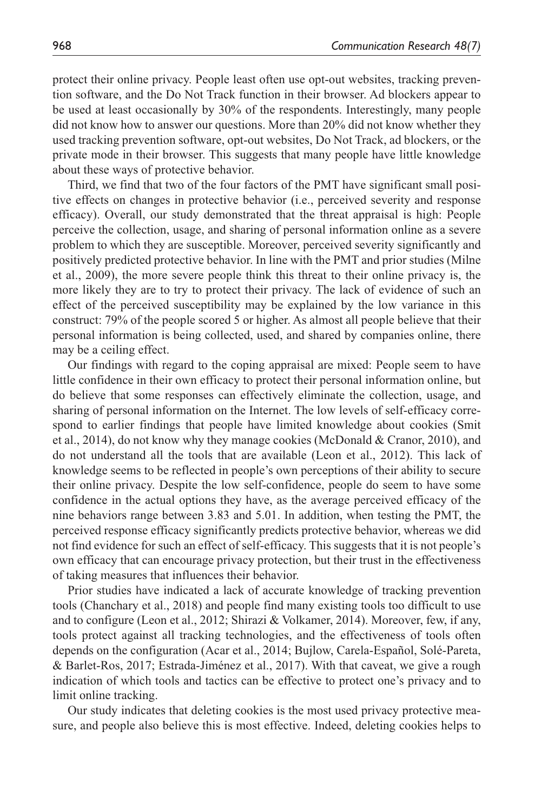protect their online privacy. People least often use opt-out websites, tracking prevention software, and the Do Not Track function in their browser. Ad blockers appear to be used at least occasionally by 30% of the respondents. Interestingly, many people did not know how to answer our questions. More than 20% did not know whether they used tracking prevention software, opt-out websites, Do Not Track, ad blockers, or the private mode in their browser. This suggests that many people have little knowledge about these ways of protective behavior.

Third, we find that two of the four factors of the PMT have significant small positive effects on changes in protective behavior (i.e., perceived severity and response efficacy). Overall, our study demonstrated that the threat appraisal is high: People perceive the collection, usage, and sharing of personal information online as a severe problem to which they are susceptible. Moreover, perceived severity significantly and positively predicted protective behavior. In line with the PMT and prior studies (Milne et al., 2009), the more severe people think this threat to their online privacy is, the more likely they are to try to protect their privacy. The lack of evidence of such an effect of the perceived susceptibility may be explained by the low variance in this construct: 79% of the people scored 5 or higher. As almost all people believe that their personal information is being collected, used, and shared by companies online, there may be a ceiling effect.

Our findings with regard to the coping appraisal are mixed: People seem to have little confidence in their own efficacy to protect their personal information online, but do believe that some responses can effectively eliminate the collection, usage, and sharing of personal information on the Internet. The low levels of self-efficacy correspond to earlier findings that people have limited knowledge about cookies (Smit et al., 2014), do not know why they manage cookies (McDonald & Cranor, 2010), and do not understand all the tools that are available (Leon et al., 2012). This lack of knowledge seems to be reflected in people's own perceptions of their ability to secure their online privacy. Despite the low self-confidence, people do seem to have some confidence in the actual options they have, as the average perceived efficacy of the nine behaviors range between 3.83 and 5.01. In addition, when testing the PMT, the perceived response efficacy significantly predicts protective behavior, whereas we did not find evidence for such an effect of self-efficacy. This suggests that it is not people's own efficacy that can encourage privacy protection, but their trust in the effectiveness of taking measures that influences their behavior.

Prior studies have indicated a lack of accurate knowledge of tracking prevention tools (Chanchary et al., 2018) and people find many existing tools too difficult to use and to configure (Leon et al., 2012; Shirazi & Volkamer, 2014). Moreover, few, if any, tools protect against all tracking technologies, and the effectiveness of tools often depends on the configuration (Acar et al., 2014; Bujlow, Carela-Español, Solé-Pareta, & Barlet-Ros, 2017; Estrada-Jiménez et al., 2017). With that caveat, we give a rough indication of which tools and tactics can be effective to protect one's privacy and to limit online tracking.

Our study indicates that deleting cookies is the most used privacy protective measure, and people also believe this is most effective. Indeed, deleting cookies helps to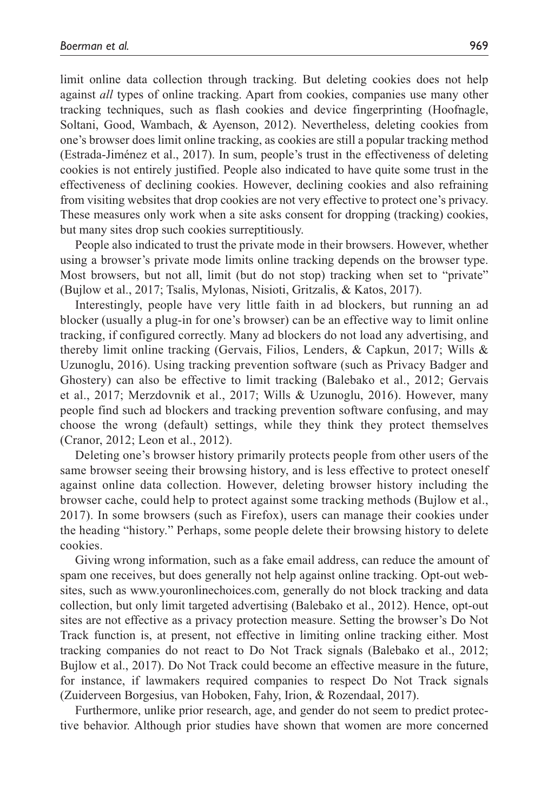limit online data collection through tracking. But deleting cookies does not help against *all* types of online tracking. Apart from cookies, companies use many other tracking techniques, such as flash cookies and device fingerprinting (Hoofnagle, Soltani, Good, Wambach, & Ayenson, 2012). Nevertheless, deleting cookies from one's browser does limit online tracking, as cookies are still a popular tracking method (Estrada-Jiménez et al., 2017). In sum, people's trust in the effectiveness of deleting cookies is not entirely justified. People also indicated to have quite some trust in the effectiveness of declining cookies. However, declining cookies and also refraining from visiting websites that drop cookies are not very effective to protect one's privacy. These measures only work when a site asks consent for dropping (tracking) cookies, but many sites drop such cookies surreptitiously.

People also indicated to trust the private mode in their browsers. However, whether using a browser's private mode limits online tracking depends on the browser type. Most browsers, but not all, limit (but do not stop) tracking when set to "private" (Bujlow et al., 2017; Tsalis, Mylonas, Nisioti, Gritzalis, & Katos, 2017).

Interestingly, people have very little faith in ad blockers, but running an ad blocker (usually a plug-in for one's browser) can be an effective way to limit online tracking, if configured correctly. Many ad blockers do not load any advertising, and thereby limit online tracking (Gervais, Filios, Lenders, & Capkun, 2017; Wills & Uzunoglu, 2016). Using tracking prevention software (such as Privacy Badger and Ghostery) can also be effective to limit tracking (Balebako et al., 2012; Gervais et al., 2017; Merzdovnik et al., 2017; Wills & Uzunoglu, 2016). However, many people find such ad blockers and tracking prevention software confusing, and may choose the wrong (default) settings, while they think they protect themselves (Cranor, 2012; Leon et al., 2012).

Deleting one's browser history primarily protects people from other users of the same browser seeing their browsing history, and is less effective to protect oneself against online data collection. However, deleting browser history including the browser cache, could help to protect against some tracking methods (Bujlow et al., 2017). In some browsers (such as Firefox), users can manage their cookies under the heading "history." Perhaps, some people delete their browsing history to delete cookies.

Giving wrong information, such as a fake email address, can reduce the amount of spam one receives, but does generally not help against online tracking. Opt-out websites, such as <www.youronlinechoices.com>, generally do not block tracking and data collection, but only limit targeted advertising (Balebako et al., 2012). Hence, opt-out sites are not effective as a privacy protection measure. Setting the browser's Do Not Track function is, at present, not effective in limiting online tracking either. Most tracking companies do not react to Do Not Track signals (Balebako et al., 2012; Bujlow et al., 2017). Do Not Track could become an effective measure in the future, for instance, if lawmakers required companies to respect Do Not Track signals (Zuiderveen Borgesius, van Hoboken, Fahy, Irion, & Rozendaal, 2017).

Furthermore, unlike prior research, age, and gender do not seem to predict protective behavior. Although prior studies have shown that women are more concerned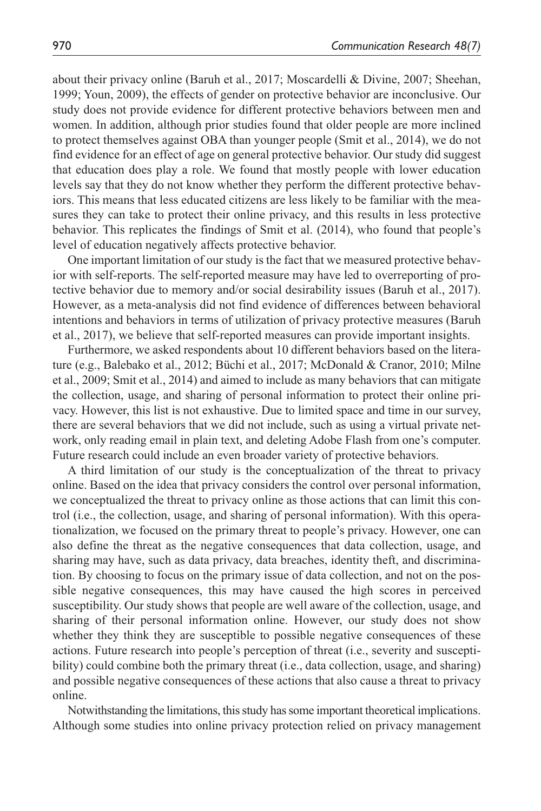about their privacy online (Baruh et al., 2017; Moscardelli & Divine, 2007; Sheehan, 1999; Youn, 2009), the effects of gender on protective behavior are inconclusive. Our study does not provide evidence for different protective behaviors between men and women. In addition, although prior studies found that older people are more inclined to protect themselves against OBA than younger people (Smit et al., 2014), we do not find evidence for an effect of age on general protective behavior. Our study did suggest that education does play a role. We found that mostly people with lower education levels say that they do not know whether they perform the different protective behaviors. This means that less educated citizens are less likely to be familiar with the measures they can take to protect their online privacy, and this results in less protective behavior. This replicates the findings of Smit et al. (2014), who found that people's level of education negatively affects protective behavior.

One important limitation of our study is the fact that we measured protective behavior with self-reports. The self-reported measure may have led to overreporting of protective behavior due to memory and/or social desirability issues (Baruh et al., 2017). However, as a meta-analysis did not find evidence of differences between behavioral intentions and behaviors in terms of utilization of privacy protective measures (Baruh et al., 2017), we believe that self-reported measures can provide important insights.

Furthermore, we asked respondents about 10 different behaviors based on the literature (e.g., Balebako et al., 2012; Büchi et al., 2017; McDonald & Cranor, 2010; Milne et al., 2009; Smit et al., 2014) and aimed to include as many behaviors that can mitigate the collection, usage, and sharing of personal information to protect their online privacy. However, this list is not exhaustive. Due to limited space and time in our survey, there are several behaviors that we did not include, such as using a virtual private network, only reading email in plain text, and deleting Adobe Flash from one's computer. Future research could include an even broader variety of protective behaviors.

A third limitation of our study is the conceptualization of the threat to privacy online. Based on the idea that privacy considers the control over personal information, we conceptualized the threat to privacy online as those actions that can limit this control (i.e., the collection, usage, and sharing of personal information). With this operationalization, we focused on the primary threat to people's privacy. However, one can also define the threat as the negative consequences that data collection, usage, and sharing may have, such as data privacy, data breaches, identity theft, and discrimination. By choosing to focus on the primary issue of data collection, and not on the possible negative consequences, this may have caused the high scores in perceived susceptibility. Our study shows that people are well aware of the collection, usage, and sharing of their personal information online. However, our study does not show whether they think they are susceptible to possible negative consequences of these actions. Future research into people's perception of threat (i.e., severity and susceptibility) could combine both the primary threat (i.e., data collection, usage, and sharing) and possible negative consequences of these actions that also cause a threat to privacy online.

Notwithstanding the limitations, this study has some important theoretical implications. Although some studies into online privacy protection relied on privacy management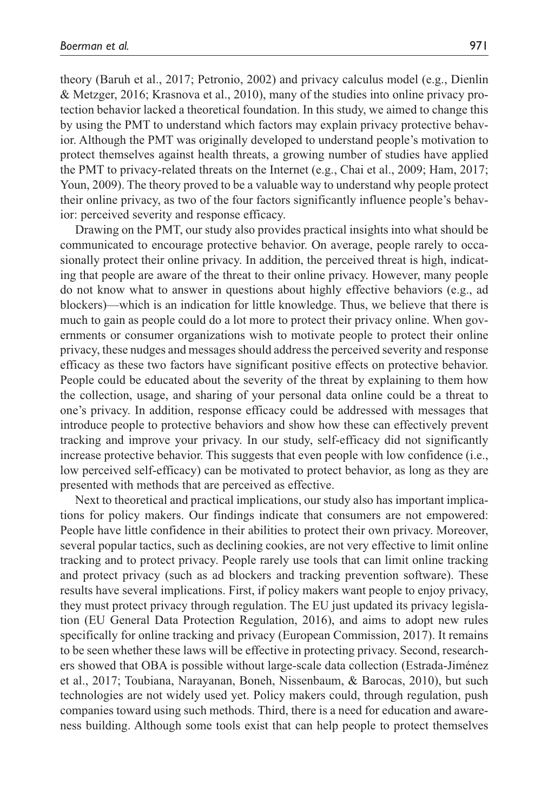theory (Baruh et al., 2017; Petronio, 2002) and privacy calculus model (e.g., Dienlin & Metzger, 2016; Krasnova et al., 2010), many of the studies into online privacy protection behavior lacked a theoretical foundation. In this study, we aimed to change this by using the PMT to understand which factors may explain privacy protective behavior. Although the PMT was originally developed to understand people's motivation to protect themselves against health threats, a growing number of studies have applied the PMT to privacy-related threats on the Internet (e.g., Chai et al., 2009; Ham, 2017; Youn, 2009). The theory proved to be a valuable way to understand why people protect their online privacy, as two of the four factors significantly influence people's behavior: perceived severity and response efficacy.

Drawing on the PMT, our study also provides practical insights into what should be communicated to encourage protective behavior. On average, people rarely to occasionally protect their online privacy. In addition, the perceived threat is high, indicating that people are aware of the threat to their online privacy. However, many people do not know what to answer in questions about highly effective behaviors (e.g., ad blockers)—which is an indication for little knowledge. Thus, we believe that there is much to gain as people could do a lot more to protect their privacy online. When governments or consumer organizations wish to motivate people to protect their online privacy, these nudges and messages should address the perceived severity and response efficacy as these two factors have significant positive effects on protective behavior. People could be educated about the severity of the threat by explaining to them how the collection, usage, and sharing of your personal data online could be a threat to one's privacy. In addition, response efficacy could be addressed with messages that introduce people to protective behaviors and show how these can effectively prevent tracking and improve your privacy. In our study, self-efficacy did not significantly increase protective behavior. This suggests that even people with low confidence (i.e., low perceived self-efficacy) can be motivated to protect behavior, as long as they are presented with methods that are perceived as effective.

Next to theoretical and practical implications, our study also has important implications for policy makers. Our findings indicate that consumers are not empowered: People have little confidence in their abilities to protect their own privacy. Moreover, several popular tactics, such as declining cookies, are not very effective to limit online tracking and to protect privacy. People rarely use tools that can limit online tracking and protect privacy (such as ad blockers and tracking prevention software). These results have several implications. First, if policy makers want people to enjoy privacy, they must protect privacy through regulation. The EU just updated its privacy legislation (EU General Data Protection Regulation, 2016), and aims to adopt new rules specifically for online tracking and privacy (European Commission, 2017). It remains to be seen whether these laws will be effective in protecting privacy. Second, researchers showed that OBA is possible without large-scale data collection (Estrada-Jiménez et al., 2017; Toubiana, Narayanan, Boneh, Nissenbaum, & Barocas, 2010), but such technologies are not widely used yet. Policy makers could, through regulation, push companies toward using such methods. Third, there is a need for education and awareness building. Although some tools exist that can help people to protect themselves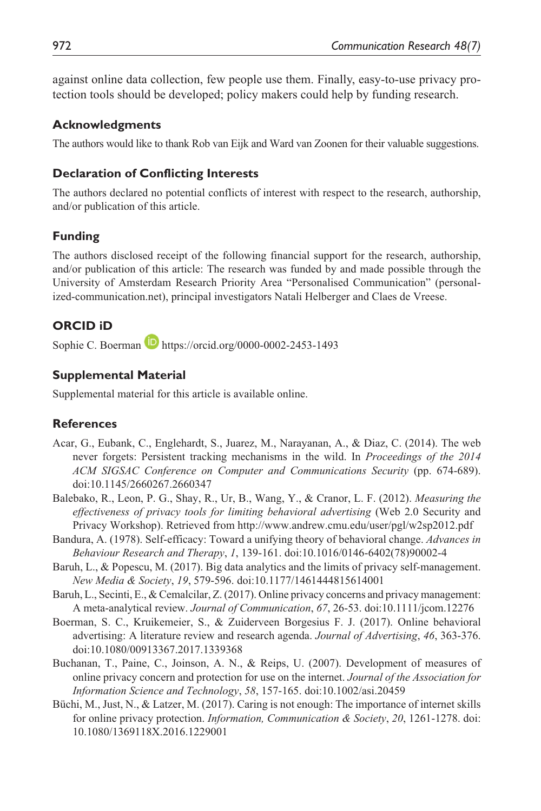against online data collection, few people use them. Finally, easy-to-use privacy protection tools should be developed; policy makers could help by funding research.

#### **Acknowledgments**

The authors would like to thank Rob van Eijk and Ward van Zoonen for their valuable suggestions.

#### **Declaration of Conflicting Interests**

The authors declared no potential conflicts of interest with respect to the research, authorship, and/or publication of this article.

#### **Funding**

The authors disclosed receipt of the following financial support for the research, authorship, and/or publication of this article: The research was funded by and made possible through the University of Amsterdam Research Priority Area "Personalised Communication" (personalized-communication.net), principal investigators Natali Helberger and Claes de Vreese.

#### **ORCID iD**

Sophie C. Boerman **b** <https://orcid.org/0000-0002-2453-1493>

#### **Supplemental Material**

Supplemental material for this article is available online.

#### **References**

- Acar, G., Eubank, C., Englehardt, S., Juarez, M., Narayanan, A., & Diaz, C. (2014). The web never forgets: Persistent tracking mechanisms in the wild. In *Proceedings of the 2014 ACM SIGSAC Conference on Computer and Communications Security* (pp. 674-689). doi:10.1145/2660267.2660347
- Balebako, R., Leon, P. G., Shay, R., Ur, B., Wang, Y., & Cranor, L. F. (2012). *Measuring the effectiveness of privacy tools for limiting behavioral advertising* (Web 2.0 Security and Privacy Workshop). Retrieved from <http://www.andrew.cmu.edu/user/pgl/w2sp2012.pdf>
- Bandura, A. (1978). Self-efficacy: Toward a unifying theory of behavioral change. *Advances in Behaviour Research and Therapy*, *1*, 139-161. doi:10.1016/0146-6402(78)90002-4
- Baruh, L., & Popescu, M. (2017). Big data analytics and the limits of privacy self-management. *New Media & Society*, *19*, 579-596. doi:10.1177/1461444815614001
- Baruh, L., Secinti, E., & Cemalcilar, Z. (2017). Online privacy concerns and privacy management: A meta-analytical review. *Journal of Communication*, *67*, 26-53. doi:10.1111/jcom.12276
- Boerman, S. C., Kruikemeier, S., & Zuiderveen Borgesius F. J. (2017). Online behavioral advertising: A literature review and research agenda. *Journal of Advertising*, *46*, 363-376. doi:10.1080/00913367.2017.1339368
- Buchanan, T., Paine, C., Joinson, A. N., & Reips, U. (2007). Development of measures of online privacy concern and protection for use on the internet. *Journal of the Association for Information Science and Technology*, *58*, 157-165. doi:10.1002/asi.20459
- Büchi, M., Just, N., & Latzer, M. (2017). Caring is not enough: The importance of internet skills for online privacy protection. *Information, Communication & Society*, *20*, 1261-1278. doi: 10.1080/1369118X.2016.1229001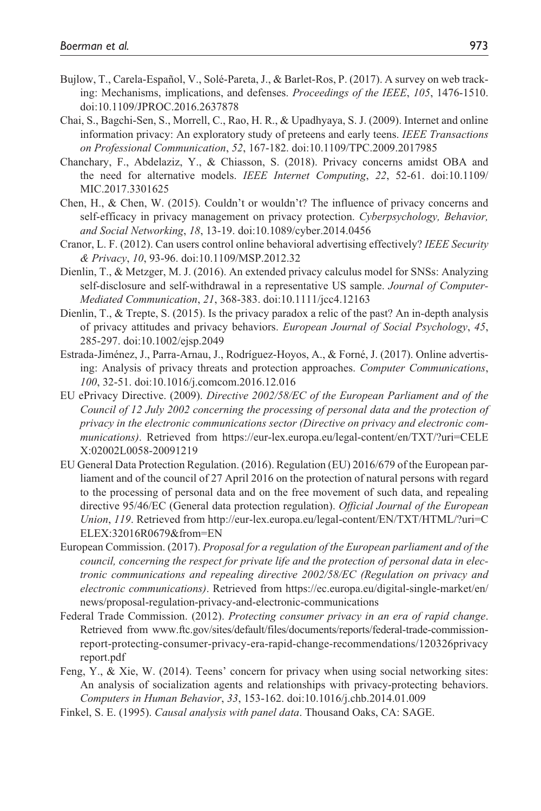- Bujlow, T., Carela-Español, V., Solé-Pareta, J., & Barlet-Ros, P. (2017). A survey on web tracking: Mechanisms, implications, and defenses. *Proceedings of the IEEE*, *105*, 1476-1510. doi:10.1109/JPROC.2016.2637878
- Chai, S., Bagchi-Sen, S., Morrell, C., Rao, H. R., & Upadhyaya, S. J. (2009). Internet and online information privacy: An exploratory study of preteens and early teens. *IEEE Transactions on Professional Communication*, *52*, 167-182. doi:10.1109/TPC.2009.2017985
- Chanchary, F., Abdelaziz, Y., & Chiasson, S. (2018). Privacy concerns amidst OBA and the need for alternative models. *IEEE Internet Computing*, *22*, 52-61. doi:10.1109/ MIC.2017.3301625
- Chen, H., & Chen, W. (2015). Couldn't or wouldn't? The influence of privacy concerns and self-efficacy in privacy management on privacy protection. *Cyberpsychology, Behavior, and Social Networking*, *18*, 13-19. doi:10.1089/cyber.2014.0456
- Cranor, L. F. (2012). Can users control online behavioral advertising effectively? *IEEE Security & Privacy*, *10*, 93-96. doi:10.1109/MSP.2012.32
- Dienlin, T., & Metzger, M. J. (2016). An extended privacy calculus model for SNSs: Analyzing self-disclosure and self-withdrawal in a representative US sample. *Journal of Computer-Mediated Communication*, *21*, 368-383. doi:10.1111/jcc4.12163
- Dienlin, T., & Trepte, S. (2015). Is the privacy paradox a relic of the past? An in-depth analysis of privacy attitudes and privacy behaviors. *European Journal of Social Psychology*, *45*, 285-297. doi:10.1002/ejsp.2049
- Estrada-Jiménez, J., Parra-Arnau, J., Rodríguez-Hoyos, A., & Forné, J. (2017). Online advertising: Analysis of privacy threats and protection approaches. *Computer Communications*, *100*, 32-51. doi:10.1016/j.comcom.2016.12.016
- EU ePrivacy Directive. (2009). *Directive 2002/58/EC of the European Parliament and of the Council of 12 July 2002 concerning the processing of personal data and the protection of privacy in the electronic communications sector (Directive on privacy and electronic communications)*. Retrieved from [https://eur-lex.europa.eu/legal-content/en/TXT/?uri=CELE](https://eur-lex.europa.eu/legal-content/en/TXT/?uri=CELEX:02002L0058-20091219) [X:02002L0058-20091219](https://eur-lex.europa.eu/legal-content/en/TXT/?uri=CELEX:02002L0058-20091219)
- EU General Data Protection Regulation. (2016). Regulation (EU) 2016/679 of the European parliament and of the council of 27 April 2016 on the protection of natural persons with regard to the processing of personal data and on the free movement of such data, and repealing directive 95/46/EC (General data protection regulation). *Official Journal of the European Union*, *119*. Retrieved from [http://eur-lex.europa.eu/legal-content/EN/TXT/HTML/?uri=C](http://eur-lex.europa.eu/legal-content/EN/TXT/HTML/?uri=CELEX:32016R0679&from=EN) [ELEX:32016R0679&from=EN](http://eur-lex.europa.eu/legal-content/EN/TXT/HTML/?uri=CELEX:32016R0679&from=EN)
- European Commission. (2017). *Proposal for a regulation of the European parliament and of the council, concerning the respect for private life and the protection of personal data in electronic communications and repealing directive 2002/58/EC (Regulation on privacy and electronic communications)*. Retrieved from [https://ec.europa.eu/digital-single-market/en/](https://ec.europa.eu/digital-single-market/en/news/proposal-regulation-privacy-and-electronic-communications) [news/proposal-regulation-privacy-and-electronic-communications](https://ec.europa.eu/digital-single-market/en/news/proposal-regulation-privacy-and-electronic-communications)
- Federal Trade Commission. (2012). *Protecting consumer privacy in an era of rapid change*. Retrieved from [www.ftc.gov/sites/default/files/documents/reports/federal-trade-commission](www.ftc.gov/sites/default/files/documents/reports/federal-trade-commission-report-protecting-consumer-privacy-era-rapid-change-recommendations/120326privacyreport.pdf)[report-protecting-consumer-privacy-era-rapid-change-recommendations/120326privacy](www.ftc.gov/sites/default/files/documents/reports/federal-trade-commission-report-protecting-consumer-privacy-era-rapid-change-recommendations/120326privacyreport.pdf) [report.pdf](www.ftc.gov/sites/default/files/documents/reports/federal-trade-commission-report-protecting-consumer-privacy-era-rapid-change-recommendations/120326privacyreport.pdf)
- Feng, Y., & Xie, W. (2014). Teens' concern for privacy when using social networking sites: An analysis of socialization agents and relationships with privacy-protecting behaviors. *Computers in Human Behavior*, *33*, 153-162. doi:10.1016/j.chb.2014.01.009
- Finkel, S. E. (1995). *Causal analysis with panel data*. Thousand Oaks, CA: SAGE.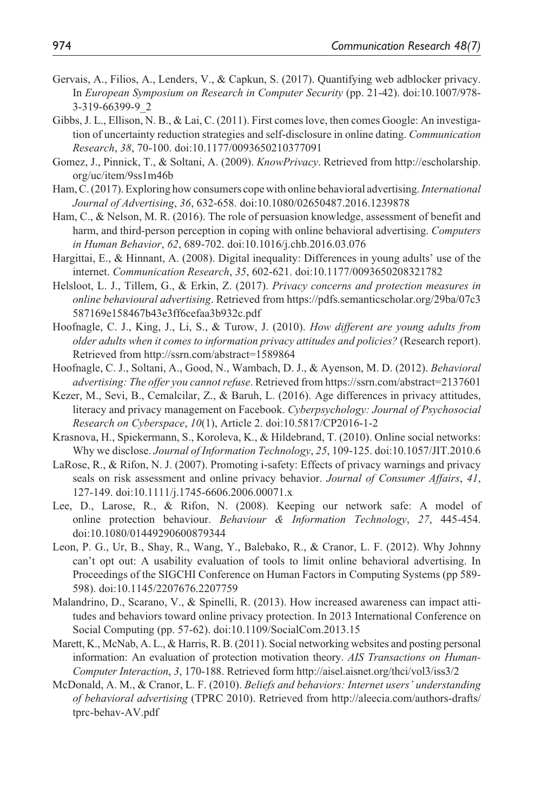- Gervais, A., Filios, A., Lenders, V., & Capkun, S. (2017). Quantifying web adblocker privacy. In *European Symposium on Research in Computer Security* (pp. 21-42). doi:10.1007/978- 3-319-66399-9\_2
- Gibbs, J. L., Ellison, N. B., & Lai, C. (2011). First comes love, then comes Google: An investigation of uncertainty reduction strategies and self-disclosure in online dating. *Communication Research*, *38*, 70-100. doi:10.1177/0093650210377091
- Gomez, J., Pinnick, T., & Soltani, A. (2009). *KnowPrivacy*. Retrieved from [http://escholarship.](http://escholarship.org/uc/item/9ss1m46b) [org/uc/item/9ss1m46b](http://escholarship.org/uc/item/9ss1m46b)
- Ham, C. (2017). Exploring how consumers cope with online behavioral advertising. *International Journal of Advertising*, *36*, 632-658. doi:10.1080/02650487.2016.1239878
- Ham, C., & Nelson, M. R. (2016). The role of persuasion knowledge, assessment of benefit and harm, and third-person perception in coping with online behavioral advertising. *Computers in Human Behavior*, *62*, 689-702. doi:10.1016/j.chb.2016.03.076
- Hargittai, E., & Hinnant, A. (2008). Digital inequality: Differences in young adults' use of the internet. *Communication Research*, *35*, 602-621. doi:10.1177/0093650208321782
- Helsloot, L. J., Tillem, G., & Erkin, Z. (2017). *Privacy concerns and protection measures in online behavioural advertising*. Retrieved from [https://pdfs.semanticscholar.org/29ba/07c3](https://pdfs.semanticscholar.org/29ba/07c3587169e158467b43e3ff6cefaa3b932c.pdf) [587169e158467b43e3ff6cefaa3b932c.pdf](https://pdfs.semanticscholar.org/29ba/07c3587169e158467b43e3ff6cefaa3b932c.pdf)
- Hoofnagle, C. J., King, J., Li, S., & Turow, J. (2010). *How different are young adults from older adults when it comes to information privacy attitudes and policies?* (Research report). Retrieved from <http://ssrn.com/abstract=1589864>
- Hoofnagle, C. J., Soltani, A., Good, N., Wambach, D. J., & Ayenson, M. D. (2012). *Behavioral advertising: The offer you cannot refuse*. Retrieved from<https://ssrn.com/abstract=2137601>
- Kezer, M., Sevi, B., Cemalcilar, Z., & Baruh, L. (2016). Age differences in privacy attitudes, literacy and privacy management on Facebook. *Cyberpsychology: Journal of Psychosocial Research on Cyberspace*, *10*(1), Article 2. doi:10.5817/CP2016-1-2
- Krasnova, H., Spiekermann, S., Koroleva, K., & Hildebrand, T. (2010). Online social networks: Why we disclose. *Journal of Information Technology*, *25*, 109-125. doi:10.1057/JIT.2010.6
- LaRose, R., & Rifon, N. J. (2007). Promoting i-safety: Effects of privacy warnings and privacy seals on risk assessment and online privacy behavior. *Journal of Consumer Affairs*, *41*, 127-149. doi:10.1111/j.1745-6606.2006.00071.x
- Lee, D., Larose, R., & Rifon, N. (2008). Keeping our network safe: A model of online protection behaviour. *Behaviour & Information Technology*, *27*, 445-454. doi:10.1080/01449290600879344
- Leon, P. G., Ur, B., Shay, R., Wang, Y., Balebako, R., & Cranor, L. F. (2012). Why Johnny can't opt out: A usability evaluation of tools to limit online behavioral advertising. In Proceedings of the SIGCHI Conference on Human Factors in Computing Systems (pp 589- 598). doi:10.1145/2207676.2207759
- Malandrino, D., Scarano, V., & Spinelli, R. (2013). How increased awareness can impact attitudes and behaviors toward online privacy protection. In 2013 International Conference on Social Computing (pp. 57-62). doi:10.1109/SocialCom.2013.15
- Marett, K., McNab, A. L., & Harris, R. B. (2011). Social networking websites and posting personal information: An evaluation of protection motivation theory. *AIS Transactions on Human-Computer Interaction*, *3*, 170-188. Retrieved form <http://aisel.aisnet.org/thci/vol3/iss3/2>
- McDonald, A. M., & Cranor, L. F. (2010). *Beliefs and behaviors: Internet users' understanding of behavioral advertising* (TPRC 2010). Retrieved from [http://aleecia.com/authors-drafts/](http://aleecia.com/authors-drafts/tprc-behav-AV.pdf) [tprc-behav-AV.pdf](http://aleecia.com/authors-drafts/tprc-behav-AV.pdf)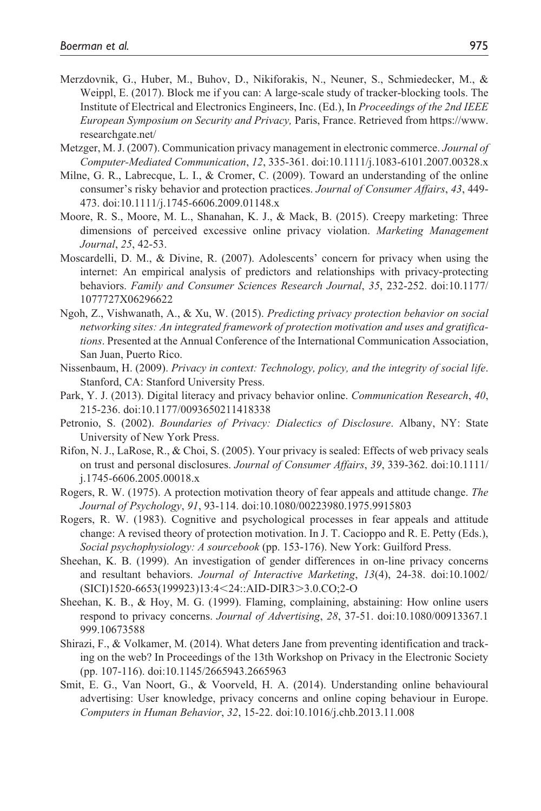- Merzdovnik, G., Huber, M., Buhov, D., Nikiforakis, N., Neuner, S., Schmiedecker, M., & Weippl, E. (2017). Block me if you can: A large-scale study of tracker-blocking tools. The Institute of Electrical and Electronics Engineers, Inc. (Ed.), In *Proceedings of the 2nd IEEE European Symposium on Security and Privacy,* Paris, France. Retrieved from [https://www.](https://www.researchgate.net/) [researchgate.net/](https://www.researchgate.net/)
- Metzger, M. J. (2007). Communication privacy management in electronic commerce. *Journal of Computer-Mediated Communication*, *12*, 335-361. doi:10.1111/j.1083-6101.2007.00328.x
- Milne, G. R., Labrecque, L. I., & Cromer, C. (2009). Toward an understanding of the online consumer's risky behavior and protection practices. *Journal of Consumer Affairs*, *43*, 449- 473. doi:10.1111/j.1745-6606.2009.01148.x
- Moore, R. S., Moore, M. L., Shanahan, K. J., & Mack, B. (2015). Creepy marketing: Three dimensions of perceived excessive online privacy violation. *Marketing Management Journal*, *25*, 42-53.
- Moscardelli, D. M., & Divine, R. (2007). Adolescents' concern for privacy when using the internet: An empirical analysis of predictors and relationships with privacy-protecting behaviors. *Family and Consumer Sciences Research Journal*, *35*, 232-252. doi:10.1177/ 1077727X06296622
- Ngoh, Z., Vishwanath, A., & Xu, W. (2015). *Predicting privacy protection behavior on social networking sites: An integrated framework of protection motivation and uses and gratifications*. Presented at the Annual Conference of the International Communication Association, San Juan, Puerto Rico.
- Nissenbaum, H. (2009). *Privacy in context: Technology, policy, and the integrity of social life*. Stanford, CA: Stanford University Press.
- Park, Y. J. (2013). Digital literacy and privacy behavior online. *Communication Research*, *40*, 215-236. doi:10.1177/0093650211418338
- Petronio, S. (2002). *Boundaries of Privacy: Dialectics of Disclosure*. Albany, NY: State University of New York Press.
- Rifon, N. J., LaRose, R., & Choi, S. (2005). Your privacy is sealed: Effects of web privacy seals on trust and personal disclosures. *Journal of Consumer Affairs*, *39*, 339-362. doi:10.1111/ j.1745-6606.2005.00018.x
- Rogers, R. W. (1975). A protection motivation theory of fear appeals and attitude change. *The Journal of Psychology*, *91*, 93-114. doi:10.1080/00223980.1975.9915803
- Rogers, R. W. (1983). Cognitive and psychological processes in fear appeals and attitude change: A revised theory of protection motivation. In J. T. Cacioppo and R. E. Petty (Eds.), *Social psychophysiology: A sourcebook* (pp. 153-176). New York: Guilford Press.
- Sheehan, K. B. (1999). An investigation of gender differences in on-line privacy concerns and resultant behaviors. *Journal of Interactive Marketing*, *13*(4), 24-38. doi:10.1002/ (SICI)1520-6653(199923)13:4<24::AID-DIR3>3.0.CO;2-O
- Sheehan, K. B., & Hoy, M. G. (1999). Flaming, complaining, abstaining: How online users respond to privacy concerns. *Journal of Advertising*, *28*, 37-51. doi:10.1080/00913367.1 999.10673588
- Shirazi, F., & Volkamer, M. (2014). What deters Jane from preventing identification and tracking on the web? In Proceedings of the 13th Workshop on Privacy in the Electronic Society (pp. 107-116). doi:10.1145/2665943.2665963
- Smit, E. G., Van Noort, G., & Voorveld, H. A. (2014). Understanding online behavioural advertising: User knowledge, privacy concerns and online coping behaviour in Europe. *Computers in Human Behavior*, *32*, 15-22. doi:10.1016/j.chb.2013.11.008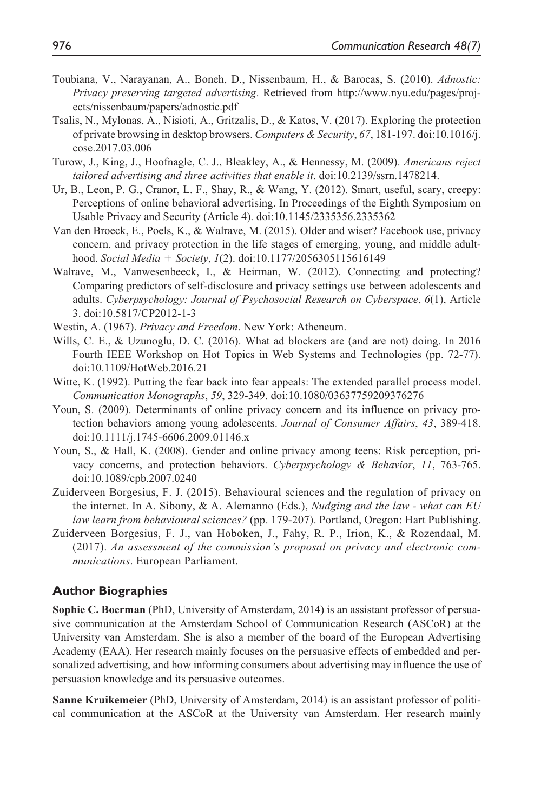- Toubiana, V., Narayanan, A., Boneh, D., Nissenbaum, H., & Barocas, S. (2010). *Adnostic: Privacy preserving targeted advertising*. Retrieved from [http://www.nyu.edu/pages/proj](http://www.nyu.edu/pages/projects/nissenbaum/papers/adnostic.pdf)[ects/nissenbaum/papers/adnostic.pdf](http://www.nyu.edu/pages/projects/nissenbaum/papers/adnostic.pdf)
- Tsalis, N., Mylonas, A., Nisioti, A., Gritzalis, D., & Katos, V. (2017). Exploring the protection of private browsing in desktop browsers. *Computers & Security*, *67*, 181-197. doi:10.1016/j. cose.2017.03.006
- Turow, J., King, J., Hoofnagle, C. J., Bleakley, A., & Hennessy, M. (2009). *Americans reject tailored advertising and three activities that enable it*. doi:10.2139/ssrn.1478214.
- Ur, B., Leon, P. G., Cranor, L. F., Shay, R., & Wang, Y. (2012). Smart, useful, scary, creepy: Perceptions of online behavioral advertising. In Proceedings of the Eighth Symposium on Usable Privacy and Security (Article 4). doi:10.1145/2335356.2335362
- Van den Broeck, E., Poels, K., & Walrave, M. (2015). Older and wiser? Facebook use, privacy concern, and privacy protection in the life stages of emerging, young, and middle adulthood. *Social Media* + *Society*, *1*(2). doi:10.1177/2056305115616149
- Walrave, M., Vanwesenbeeck, I., & Heirman, W. (2012). Connecting and protecting? Comparing predictors of self-disclosure and privacy settings use between adolescents and adults. *Cyberpsychology: Journal of Psychosocial Research on Cyberspace*, *6*(1), Article 3. doi:10.5817/CP2012-1-3
- Westin, A. (1967). *Privacy and Freedom*. New York: Atheneum.
- Wills, C. E., & Uzunoglu, D. C. (2016). What ad blockers are (and are not) doing. In 2016 Fourth IEEE Workshop on Hot Topics in Web Systems and Technologies (pp. 72-77). doi:10.1109/HotWeb.2016.21
- Witte, K. (1992). Putting the fear back into fear appeals: The extended parallel process model. *Communication Monographs*, *59*, 329-349. doi:10.1080/03637759209376276
- Youn, S. (2009). Determinants of online privacy concern and its influence on privacy protection behaviors among young adolescents. *Journal of Consumer Affairs*, *43*, 389-418. doi:10.1111/j.1745-6606.2009.01146.x
- Youn, S., & Hall, K. (2008). Gender and online privacy among teens: Risk perception, privacy concerns, and protection behaviors. *Cyberpsychology & Behavior*, *11*, 763-765. doi:10.1089/cpb.2007.0240
- Zuiderveen Borgesius, F. J. (2015). Behavioural sciences and the regulation of privacy on the internet. In A. Sibony, & A. Alemanno (Eds.), *Nudging and the law - what can EU law learn from behavioural sciences?* (pp. 179-207). Portland, Oregon: Hart Publishing.
- Zuiderveen Borgesius, F. J., van Hoboken, J., Fahy, R. P., Irion, K., & Rozendaal, M. (2017). *An assessment of the commission's proposal on privacy and electronic communications*. European Parliament.

#### **Author Biographies**

**Sophie C. Boerman** (PhD, University of Amsterdam, 2014) is an assistant professor of persuasive communication at the Amsterdam School of Communication Research (ASCoR) at the University van Amsterdam. She is also a member of the board of the European Advertising Academy (EAA). Her research mainly focuses on the persuasive effects of embedded and personalized advertising, and how informing consumers about advertising may influence the use of persuasion knowledge and its persuasive outcomes.

**Sanne Kruikemeier** (PhD, University of Amsterdam, 2014) is an assistant professor of political communication at the ASCoR at the University van Amsterdam. Her research mainly